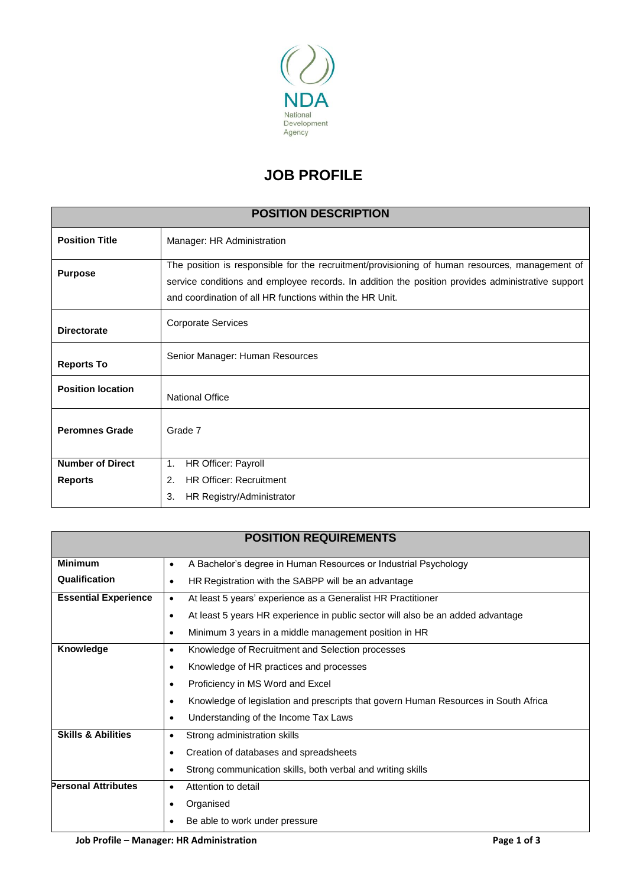

## **JOB PROFILE**

| <b>POSITION DESCRIPTION</b> |                                                                                                                                                                                                                                                                 |  |  |  |
|-----------------------------|-----------------------------------------------------------------------------------------------------------------------------------------------------------------------------------------------------------------------------------------------------------------|--|--|--|
| <b>Position Title</b>       | Manager: HR Administration                                                                                                                                                                                                                                      |  |  |  |
| <b>Purpose</b>              | The position is responsible for the recruitment/provisioning of human resources, management of<br>service conditions and employee records. In addition the position provides administrative support<br>and coordination of all HR functions within the HR Unit. |  |  |  |
| <b>Directorate</b>          | <b>Corporate Services</b>                                                                                                                                                                                                                                       |  |  |  |
| <b>Reports To</b>           | Senior Manager: Human Resources                                                                                                                                                                                                                                 |  |  |  |
| <b>Position location</b>    | <b>National Office</b>                                                                                                                                                                                                                                          |  |  |  |
| <b>Peromnes Grade</b>       | Grade 7                                                                                                                                                                                                                                                         |  |  |  |
| <b>Number of Direct</b>     | HR Officer: Payroll<br>1.                                                                                                                                                                                                                                       |  |  |  |
| <b>Reports</b>              | <b>HR Officer: Recruitment</b><br>2.                                                                                                                                                                                                                            |  |  |  |
|                             | 3.<br>HR Registry/Administrator                                                                                                                                                                                                                                 |  |  |  |

|                                                                                                               | <b>POSITION REQUIREMENTS</b>                                                        |  |  |  |  |  |                                  |
|---------------------------------------------------------------------------------------------------------------|-------------------------------------------------------------------------------------|--|--|--|--|--|----------------------------------|
| <b>Minimum</b>                                                                                                | A Bachelor's degree in Human Resources or Industrial Psychology<br>$\bullet$        |  |  |  |  |  |                                  |
| <b>Qualification</b>                                                                                          | HR Registration with the SABPP will be an advantage                                 |  |  |  |  |  |                                  |
| <b>Essential Experience</b>                                                                                   | At least 5 years' experience as a Generalist HR Practitioner<br>$\bullet$           |  |  |  |  |  |                                  |
| At least 5 years HR experience in public sector will also be an added advantage<br>٠                          |                                                                                     |  |  |  |  |  |                                  |
|                                                                                                               | Minimum 3 years in a middle management position in HR<br>$\bullet$                  |  |  |  |  |  |                                  |
| Knowledge<br>Knowledge of Recruitment and Selection processes<br>٠<br>Knowledge of HR practices and processes |                                                                                     |  |  |  |  |  |                                  |
|                                                                                                               |                                                                                     |  |  |  |  |  | Proficiency in MS Word and Excel |
|                                                                                                               | Knowledge of legislation and prescripts that govern Human Resources in South Africa |  |  |  |  |  |                                  |
|                                                                                                               | Understanding of the Income Tax Laws                                                |  |  |  |  |  |                                  |
| <b>Skills &amp; Abilities</b><br>Strong administration skills                                                 |                                                                                     |  |  |  |  |  |                                  |
| Creation of databases and spreadsheets<br>٠                                                                   |                                                                                     |  |  |  |  |  |                                  |
|                                                                                                               | Strong communication skills, both verbal and writing skills                         |  |  |  |  |  |                                  |
| <b>Personal Attributes</b>                                                                                    | Attention to detail<br>$\bullet$                                                    |  |  |  |  |  |                                  |
|                                                                                                               | Organised                                                                           |  |  |  |  |  |                                  |
|                                                                                                               | Be able to work under pressure                                                      |  |  |  |  |  |                                  |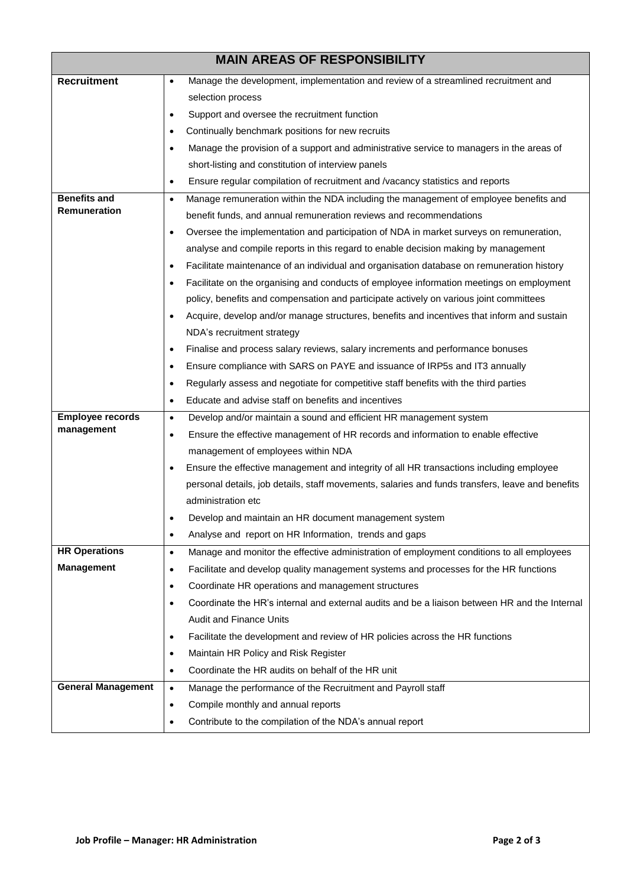|                                                                                                  | <b>MAIN AREAS OF RESPONSIBILITY</b>                                                                        |  |  |  |
|--------------------------------------------------------------------------------------------------|------------------------------------------------------------------------------------------------------------|--|--|--|
| <b>Recruitment</b>                                                                               | Manage the development, implementation and review of a streamlined recruitment and<br>$\bullet$            |  |  |  |
|                                                                                                  | selection process                                                                                          |  |  |  |
|                                                                                                  | Support and oversee the recruitment function<br>٠                                                          |  |  |  |
|                                                                                                  | Continually benchmark positions for new recruits<br>$\bullet$                                              |  |  |  |
|                                                                                                  | Manage the provision of a support and administrative service to managers in the areas of<br>$\bullet$      |  |  |  |
|                                                                                                  | short-listing and constitution of interview panels                                                         |  |  |  |
|                                                                                                  | Ensure regular compilation of recruitment and /vacancy statistics and reports<br>$\bullet$                 |  |  |  |
| <b>Benefits and</b>                                                                              | Manage remuneration within the NDA including the management of employee benefits and<br>$\bullet$          |  |  |  |
| Remuneration                                                                                     | benefit funds, and annual remuneration reviews and recommendations                                         |  |  |  |
|                                                                                                  | Oversee the implementation and participation of NDA in market surveys on remuneration,<br>$\bullet$        |  |  |  |
|                                                                                                  | analyse and compile reports in this regard to enable decision making by management                         |  |  |  |
|                                                                                                  | Facilitate maintenance of an individual and organisation database on remuneration history<br>٠             |  |  |  |
|                                                                                                  | Facilitate on the organising and conducts of employee information meetings on employment<br>$\bullet$      |  |  |  |
|                                                                                                  | policy, benefits and compensation and participate actively on various joint committees                     |  |  |  |
|                                                                                                  | Acquire, develop and/or manage structures, benefits and incentives that inform and sustain<br>$\bullet$    |  |  |  |
|                                                                                                  | NDA's recruitment strategy                                                                                 |  |  |  |
|                                                                                                  | Finalise and process salary reviews, salary increments and performance bonuses<br>٠                        |  |  |  |
|                                                                                                  | Ensure compliance with SARS on PAYE and issuance of IRP5s and IT3 annually<br>٠                            |  |  |  |
|                                                                                                  | Regularly assess and negotiate for competitive staff benefits with the third parties<br>$\bullet$          |  |  |  |
|                                                                                                  | Educate and advise staff on benefits and incentives<br>$\bullet$                                           |  |  |  |
| <b>Employee records</b>                                                                          | Develop and/or maintain a sound and efficient HR management system<br>$\bullet$                            |  |  |  |
| management                                                                                       | Ensure the effective management of HR records and information to enable effective<br>٠                     |  |  |  |
|                                                                                                  | management of employees within NDA                                                                         |  |  |  |
|                                                                                                  | Ensure the effective management and integrity of all HR transactions including employee<br>٠               |  |  |  |
| personal details, job details, staff movements, salaries and funds transfers, leave and benefits |                                                                                                            |  |  |  |
|                                                                                                  | administration etc                                                                                         |  |  |  |
|                                                                                                  | Develop and maintain an HR document management system                                                      |  |  |  |
|                                                                                                  | Analyse and report on HR Information, trends and gaps<br>$\bullet$                                         |  |  |  |
| <b>HR Operations</b>                                                                             | Manage and monitor the effective administration of employment conditions to all employees<br>$\bullet$     |  |  |  |
| <b>Management</b>                                                                                | Facilitate and develop quality management systems and processes for the HR functions<br>٠                  |  |  |  |
|                                                                                                  | Coordinate HR operations and management structures<br>٠                                                    |  |  |  |
|                                                                                                  | Coordinate the HR's internal and external audits and be a liaison between HR and the Internal<br>$\bullet$ |  |  |  |
|                                                                                                  | Audit and Finance Units                                                                                    |  |  |  |
|                                                                                                  | Facilitate the development and review of HR policies across the HR functions<br>٠                          |  |  |  |
|                                                                                                  | Maintain HR Policy and Risk Register<br>$\bullet$                                                          |  |  |  |
|                                                                                                  | Coordinate the HR audits on behalf of the HR unit<br>٠                                                     |  |  |  |
| <b>General Management</b>                                                                        | Manage the performance of the Recruitment and Payroll staff<br>$\bullet$                                   |  |  |  |
|                                                                                                  | Compile monthly and annual reports<br>$\bullet$                                                            |  |  |  |
|                                                                                                  | Contribute to the compilation of the NDA's annual report<br>٠                                              |  |  |  |